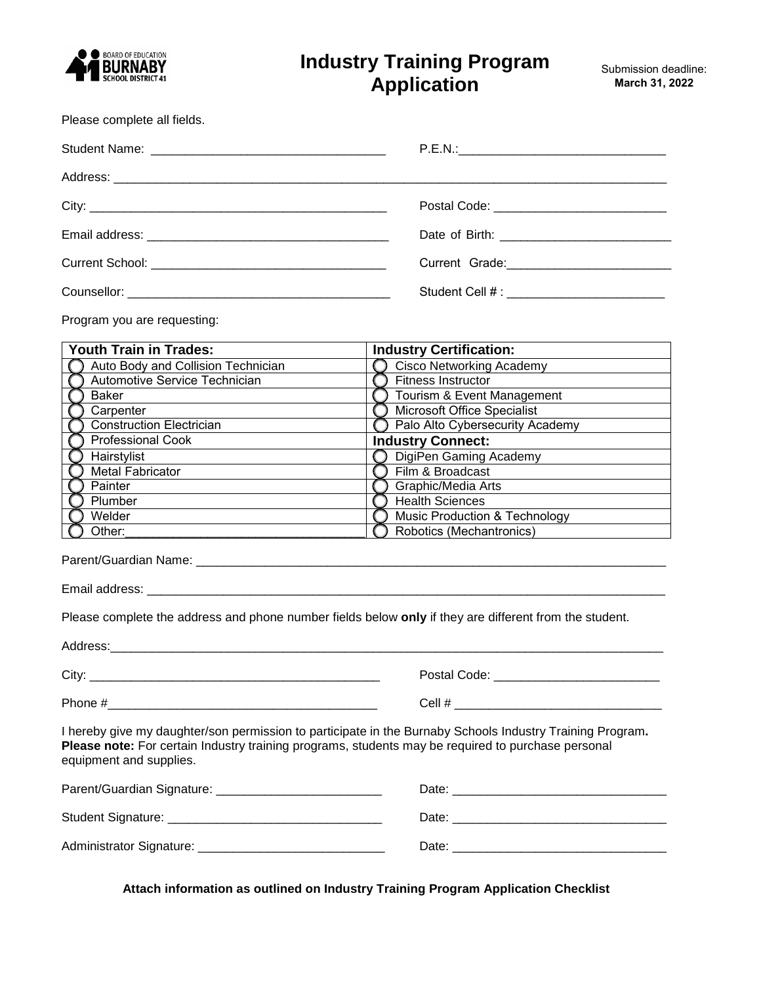

# **Industry Training Program Application**

Please complete all fields.

| Postal Code: <u>___________________________</u> |
|-------------------------------------------------|
|                                                 |
|                                                 |
|                                                 |

Program you are requesting:

| Youth Train in Trades:             | <b>Industry Certification:</b>           |
|------------------------------------|------------------------------------------|
| Auto Body and Collision Technician | <b>Cisco Networking Academy</b>          |
| Automotive Service Technician      | Fitness Instructor                       |
| Baker                              | Tourism & Event Management               |
| Carpenter                          | Microsoft Office Specialist              |
| <b>Construction Electrician</b>    | Palo Alto Cybersecurity Academy          |
| Professional Cook                  | <b>Industry Connect:</b>                 |
| Hairstylist                        | DigiPen Gaming Academy                   |
| <b>Metal Fabricator</b>            | Film & Broadcast                         |
| Painter                            | Graphic/Media Arts                       |
| Plumber                            | <b>Health Sciences</b>                   |
| Welder                             | <b>Music Production &amp; Technology</b> |
| Other:                             | Robotics (Mechantronics)                 |

Parent/Guardian Name: \_\_\_\_\_\_\_\_\_\_\_\_\_\_\_\_\_\_\_\_\_\_\_\_\_\_\_\_\_\_\_\_\_\_\_\_\_\_\_\_\_\_\_\_\_\_\_\_\_\_\_\_\_\_\_\_\_\_\_\_\_\_\_\_\_\_\_\_

Email address: \_\_\_\_\_\_\_\_\_\_\_\_\_\_\_\_\_\_\_\_\_\_\_\_\_\_\_\_\_\_\_\_\_\_\_\_\_\_\_\_\_\_\_\_\_\_\_\_\_\_\_\_\_\_\_\_\_\_\_\_\_\_\_\_\_\_\_\_\_\_\_\_\_\_\_

Please complete the address and phone number fields below **only** if they are different from the student.

| equipment and supplies. | I hereby give my daughter/son permission to participate in the Burnaby Schools Industry Training Program.<br>Please note: For certain Industry training programs, students may be required to purchase personal |
|-------------------------|-----------------------------------------------------------------------------------------------------------------------------------------------------------------------------------------------------------------|
|                         |                                                                                                                                                                                                                 |
|                         |                                                                                                                                                                                                                 |
|                         |                                                                                                                                                                                                                 |

**Attach information as outlined on Industry Training Program Application Checklist**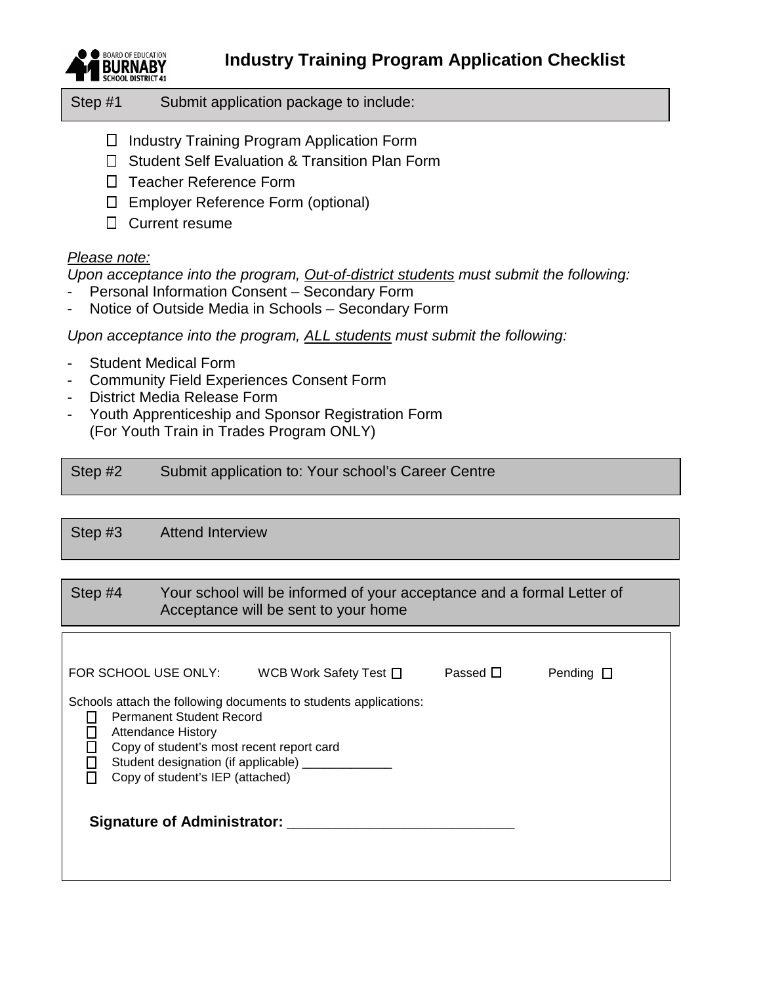**Industry Training Program Application Checklist**



Step #1 Submit application package to include:

- □ Industry Training Program Application Form
- □ Student Self Evaluation & Transition Plan Form
- □ Teacher Reference Form
- Employer Reference Form (optional)
- □ Current resume

### *Please note:*

*Upon acceptance into the program, Out-of-district students must submit the following:*

- Personal Information Consent Secondary Form
- Notice of Outside Media in Schools Secondary Form

*Upon acceptance into the program, ALL students must submit the following:*

- Student Medical Form
- Community Field Experiences Consent Form
- District Media Release Form
- Youth Apprenticeship and Sponsor Registration Form (For Youth Train in Trades Program ONLY)

| Step #2 | Submit application to: Your school's Career Centre |
|---------|----------------------------------------------------|
|---------|----------------------------------------------------|

Step #3 Attend Interview

### Step #4 Your school will be informed of your acceptance and a formal Letter of Acceptance will be sent to your home

| FOR SCHOOL USE ONLY:                                                                                                                                                                                                                                        | WCB Work Safety Test $\square$ | Passed $\Box$ | Pending $\square$ |
|-------------------------------------------------------------------------------------------------------------------------------------------------------------------------------------------------------------------------------------------------------------|--------------------------------|---------------|-------------------|
| Schools attach the following documents to students applications:<br><b>Permanent Student Record</b><br>Attendance History<br>Copy of student's most recent report card<br>Student designation (if applicable) _________<br>Copy of student's IEP (attached) |                                |               |                   |
| Signature of Administrator:                                                                                                                                                                                                                                 |                                |               |                   |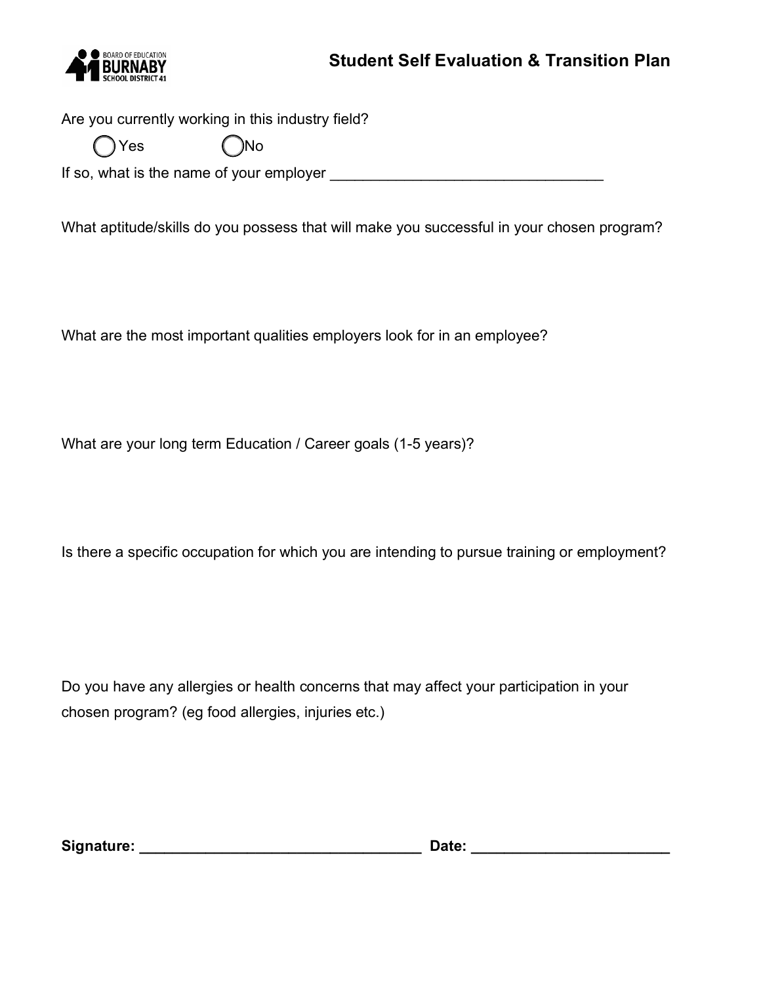

Are you currently working in this industry field?

| $\bigcirc$ Yes | ( )No |
|----------------|-------|
|                |       |

If so, what is the name of your employer \_\_\_\_\_\_\_\_\_\_\_\_\_\_\_\_\_\_\_\_\_\_\_\_\_\_\_\_\_\_\_\_\_

What aptitude/skills do you possess that will make you successful in your chosen program?

What are the most important qualities employers look for in an employee?

What are your long term Education / Career goals (1-5 years)?

Is there a specific occupation for which you are intending to pursue training or employment?

Do you have any allergies or health concerns that may affect your participation in your chosen program? (eg food allergies, injuries etc.)

**Signature: \_\_\_\_\_\_\_\_\_\_\_\_\_\_\_\_\_\_\_\_\_\_\_\_\_\_\_\_\_\_\_\_\_\_ Date: \_\_\_\_\_\_\_\_\_\_\_\_\_\_\_\_\_\_\_\_\_\_\_\_**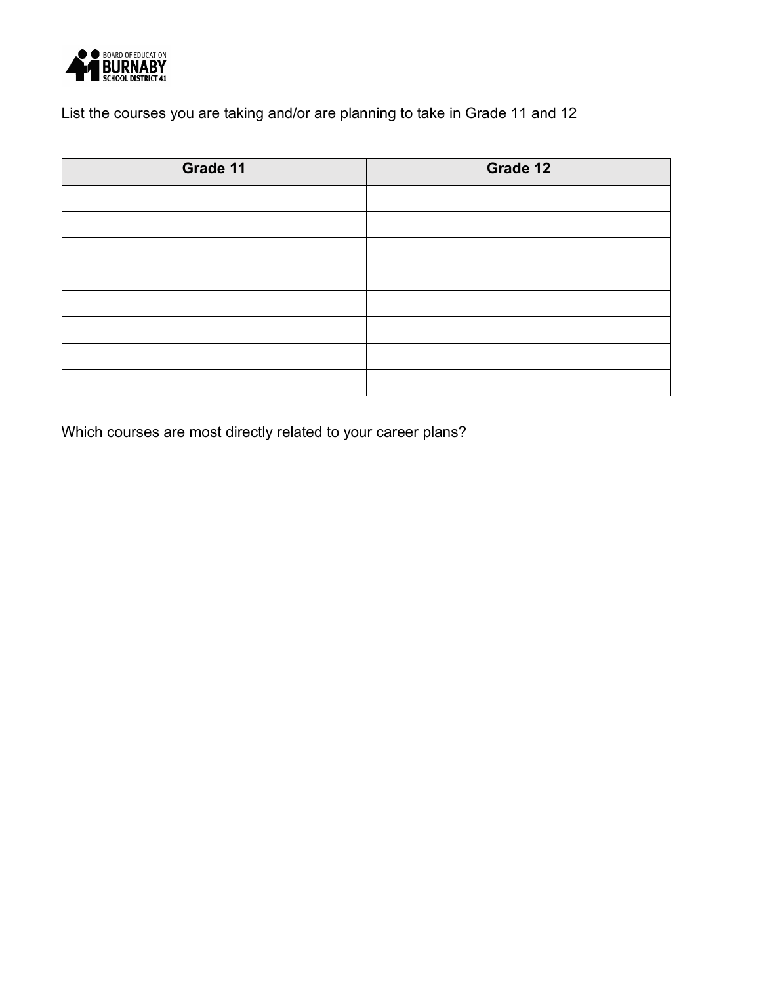

List the courses you are taking and/or are planning to take in Grade 11 and 12

| Grade 11 | Grade 12 |
|----------|----------|
|          |          |
|          |          |
|          |          |
|          |          |
|          |          |
|          |          |
|          |          |
|          |          |

Which courses are most directly related to your career plans?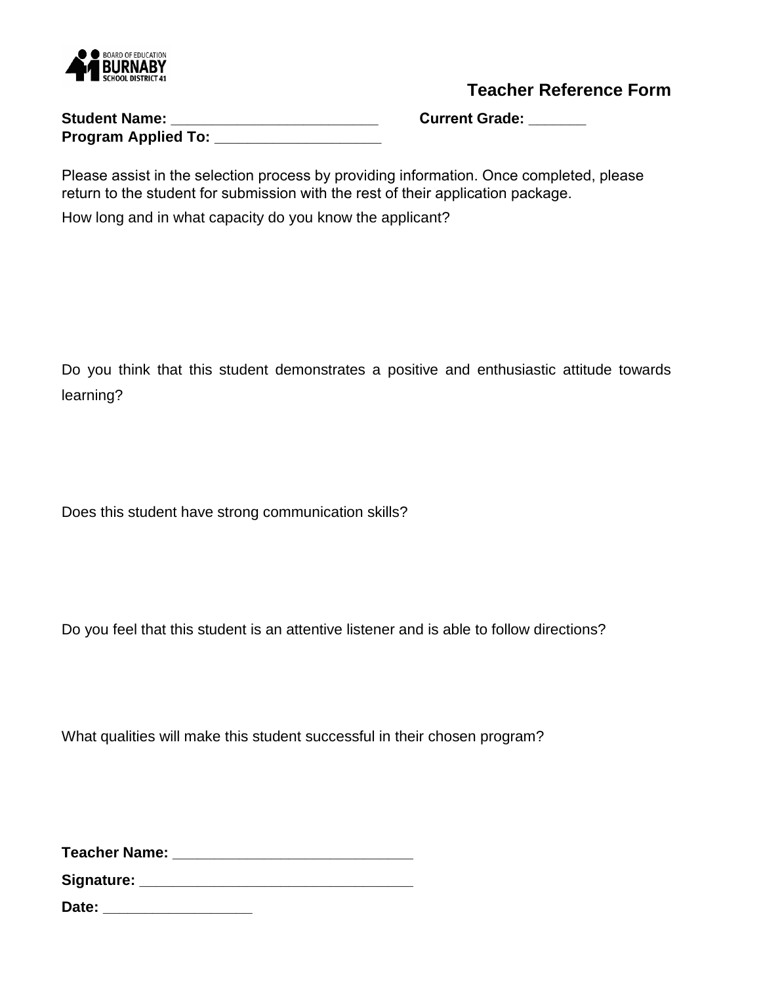

**Teacher Reference Form**

| <b>Student Name:</b>       |  |
|----------------------------|--|
| <b>Program Applied To:</b> |  |

**Student Name: \_\_\_\_\_\_\_\_\_\_\_\_\_\_\_\_\_\_\_\_\_\_\_\_\_ Current Grade: \_\_\_\_\_\_\_** 

Please assist in the selection process by providing information. Once completed, please return to the student for submission with the rest of their application package.

How long and in what capacity do you know the applicant?

Do you think that this student demonstrates a positive and enthusiastic attitude towards learning?

Does this student have strong communication skills?

Do you feel that this student is an attentive listener and is able to follow directions?

What qualities will make this student successful in their chosen program?

**Teacher Name: \_\_\_\_\_\_\_\_\_\_\_\_\_\_\_\_\_\_\_\_\_\_\_\_\_\_\_\_\_** 

**Signature: \_\_\_\_\_\_\_\_\_\_\_\_\_\_\_\_\_\_\_\_\_\_\_\_\_\_\_\_\_\_\_\_\_**

**Date: \_\_\_\_\_\_\_\_\_\_\_\_\_\_\_\_\_\_**